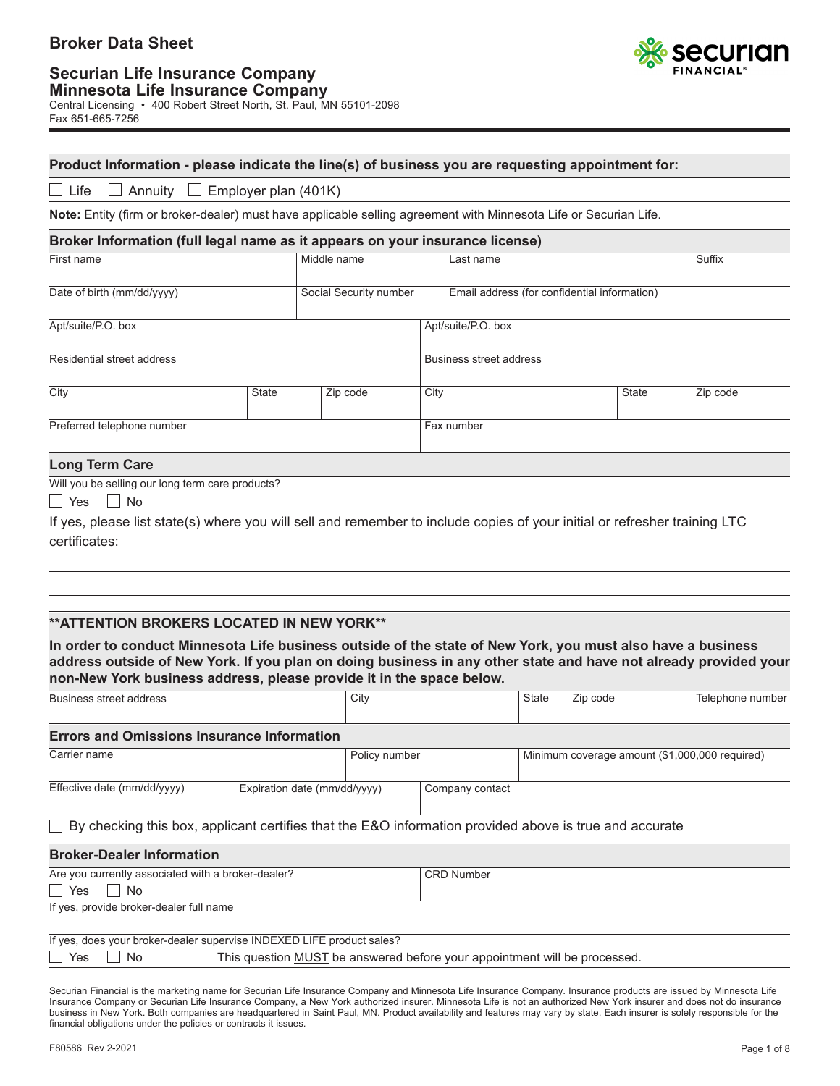# **Broker Data Sheet**



Central Licensing • 400 Robert Street North, St. Paul, MN 55101-2098 Fax 651-665-7256

| Product Information - please indicate the line(s) of business you are requesting appointment for:                                                                                                                                                                                                                                                          |              |             |                                              |                         |              |          |  |
|------------------------------------------------------------------------------------------------------------------------------------------------------------------------------------------------------------------------------------------------------------------------------------------------------------------------------------------------------------|--------------|-------------|----------------------------------------------|-------------------------|--------------|----------|--|
| $\Box$ Life $\Box$ Annuity $\Box$ Employer plan (401K)                                                                                                                                                                                                                                                                                                     |              |             |                                              |                         |              |          |  |
| Note: Entity (firm or broker-dealer) must have applicable selling agreement with Minnesota Life or Securian Life.                                                                                                                                                                                                                                          |              |             |                                              |                         |              |          |  |
| Broker Information (full legal name as it appears on your insurance license)                                                                                                                                                                                                                                                                               |              |             |                                              |                         |              |          |  |
| First name                                                                                                                                                                                                                                                                                                                                                 |              | Middle name |                                              | Last name               |              | Suffix   |  |
| Date of birth (mm/dd/yyyy)<br>Social Security number                                                                                                                                                                                                                                                                                                       |              |             | Email address (for confidential information) |                         |              |          |  |
| Apt/suite/P.O. box                                                                                                                                                                                                                                                                                                                                         |              |             |                                              | Apt/suite/P.O. box      |              |          |  |
| Residential street address                                                                                                                                                                                                                                                                                                                                 |              |             |                                              | Business street address |              |          |  |
| City                                                                                                                                                                                                                                                                                                                                                       | <b>State</b> | Zip code    | City                                         |                         | <b>State</b> | Zip code |  |
| Preferred telephone number                                                                                                                                                                                                                                                                                                                                 |              |             |                                              | Fax number              |              |          |  |
| <b>Long Term Care</b>                                                                                                                                                                                                                                                                                                                                      |              |             |                                              |                         |              |          |  |
| Will you be selling our long term care products?<br>Yes $\Box$ No                                                                                                                                                                                                                                                                                          |              |             |                                              |                         |              |          |  |
| If yes, please list state(s) where you will sell and remember to include copies of your initial or refresher training LTC<br>certificates: the contract of the contract of the contract of the contract of the contract of the contract of the contract of the contract of the contract of the contract of the contract of the contract of the contract of |              |             |                                              |                         |              |          |  |
|                                                                                                                                                                                                                                                                                                                                                            |              |             |                                              |                         |              |          |  |
|                                                                                                                                                                                                                                                                                                                                                            |              |             |                                              |                         |              |          |  |
|                                                                                                                                                                                                                                                                                                                                                            |              |             |                                              |                         |              |          |  |
| ** ATTENTION BROKERS LOCATED IN NEW YORK**                                                                                                                                                                                                                                                                                                                 |              |             |                                              |                         |              |          |  |

**In order to conduct Minnesota Life business outside of the state of New York, you must also have a business address outside of New York. If you plan on doing business in any other state and have not already provided your non-New York business address, please provide it in the space below.**

| <b>Business street address</b>                                                                                |  | City          |                   | State                                          | Zip code | Telephone number |
|---------------------------------------------------------------------------------------------------------------|--|---------------|-------------------|------------------------------------------------|----------|------------------|
| <b>Errors and Omissions Insurance Information</b>                                                             |  |               |                   |                                                |          |                  |
| Carrier name                                                                                                  |  | Policy number |                   | Minimum coverage amount (\$1,000,000 required) |          |                  |
| Effective date (mm/dd/yyyy)<br>Expiration date (mm/dd/yyyy)                                                   |  |               | Company contact   |                                                |          |                  |
| $\Box$ By checking this box, applicant certifies that the E&O information provided above is true and accurate |  |               |                   |                                                |          |                  |
| <b>Broker-Dealer Information</b>                                                                              |  |               |                   |                                                |          |                  |
| Are you currently associated with a broker-dealer?<br>l Yes<br>$\overline{\phantom{a}}$ No                    |  |               | <b>CRD Number</b> |                                                |          |                  |
| If yes, provide broker-dealer full name                                                                       |  |               |                   |                                                |          |                  |
| If yes, does your broker-dealer supervise INDEXED LIFE product sales?                                         |  |               |                   |                                                |          |                  |

Yes  $\Box$  No This question  $\underline{\mathsf{MUST}}$  be answered before your appointment will be processed.

Securian Financial is the marketing name for Securian Life Insurance Company and Minnesota Life Insurance Company. Insurance products are issued by Minnesota Life Insurance Company or Securian Life Insurance Company, a New York authorized insurer. Minnesota Life is not an authorized New York insurer and does not do insurance business in New York. Both companies are headquartered in Saint Paul, MN. Product availability and features may vary by state. Each insurer is solely responsible for the financial obligations under the policies or contracts it issues.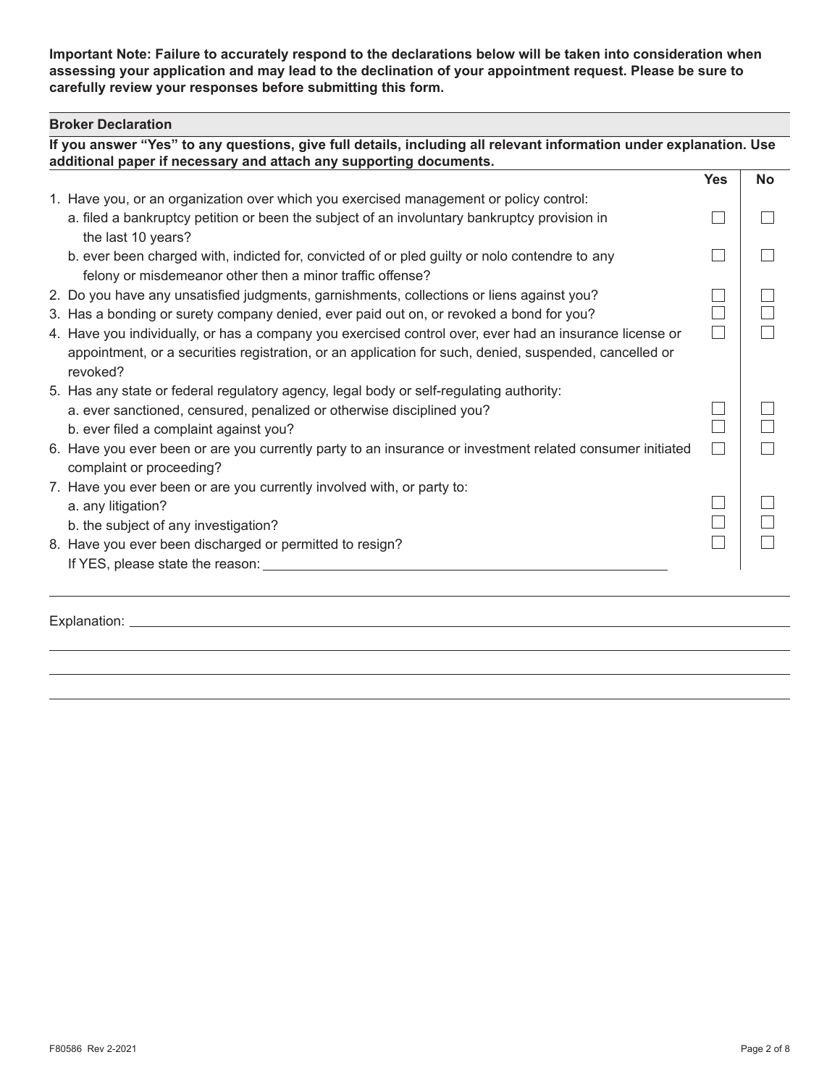**Important Note: Failure to accurately respond to the declarations below will be taken into consideration when assessing your application and may lead to the declination of your appointment request. Please be sure to carefully review your responses before submitting this form.**

### **Broker Declaration**

| If you answer "Yes" to any questions, give full details, including all relevant information under explanation. Use |    |  |  |  |
|--------------------------------------------------------------------------------------------------------------------|----|--|--|--|
| additional paper if necessary and attach any supporting documents.                                                 |    |  |  |  |
| Yes                                                                                                                | No |  |  |  |
| 1. Have you, or an organization over which you exercised management or policy control:                             |    |  |  |  |

| T. Trave you, or arr organization over written you exercised management or policy control.                |   |  |
|-----------------------------------------------------------------------------------------------------------|---|--|
| a. filed a bankruptcy petition or been the subject of an involuntary bankruptcy provision in              |   |  |
| the last 10 years?                                                                                        |   |  |
| b. ever been charged with, indicted for, convicted of or pled guilty or nolo contendre to any             |   |  |
| felony or misdemeanor other then a minor traffic offense?                                                 |   |  |
| 2. Do you have any unsatisfied judgments, garnishments, collections or liens against you?                 |   |  |
| 3. Has a bonding or surety company denied, ever paid out on, or revoked a bond for you?                   |   |  |
| 4. Have you individually, or has a company you exercised control over, ever had an insurance license or   |   |  |
| appointment, or a securities registration, or an application for such, denied, suspended, cancelled or    |   |  |
| revoked?                                                                                                  |   |  |
| 5. Has any state or federal regulatory agency, legal body or self-regulating authority:                   |   |  |
| a. ever sanctioned, censured, penalized or otherwise disciplined you?                                     |   |  |
| b. ever filed a complaint against you?                                                                    |   |  |
| 6. Have you ever been or are you currently party to an insurance or investment related consumer initiated | L |  |
| complaint or proceeding?                                                                                  |   |  |
| 7. Have you ever been or are you currently involved with, or party to:                                    |   |  |
| a. any litigation?                                                                                        |   |  |
| b. the subject of any investigation?                                                                      |   |  |
| 8. Have you ever been discharged or permitted to resign?                                                  |   |  |
| If YES, please state the reason: _________                                                                |   |  |
|                                                                                                           |   |  |

Explanation: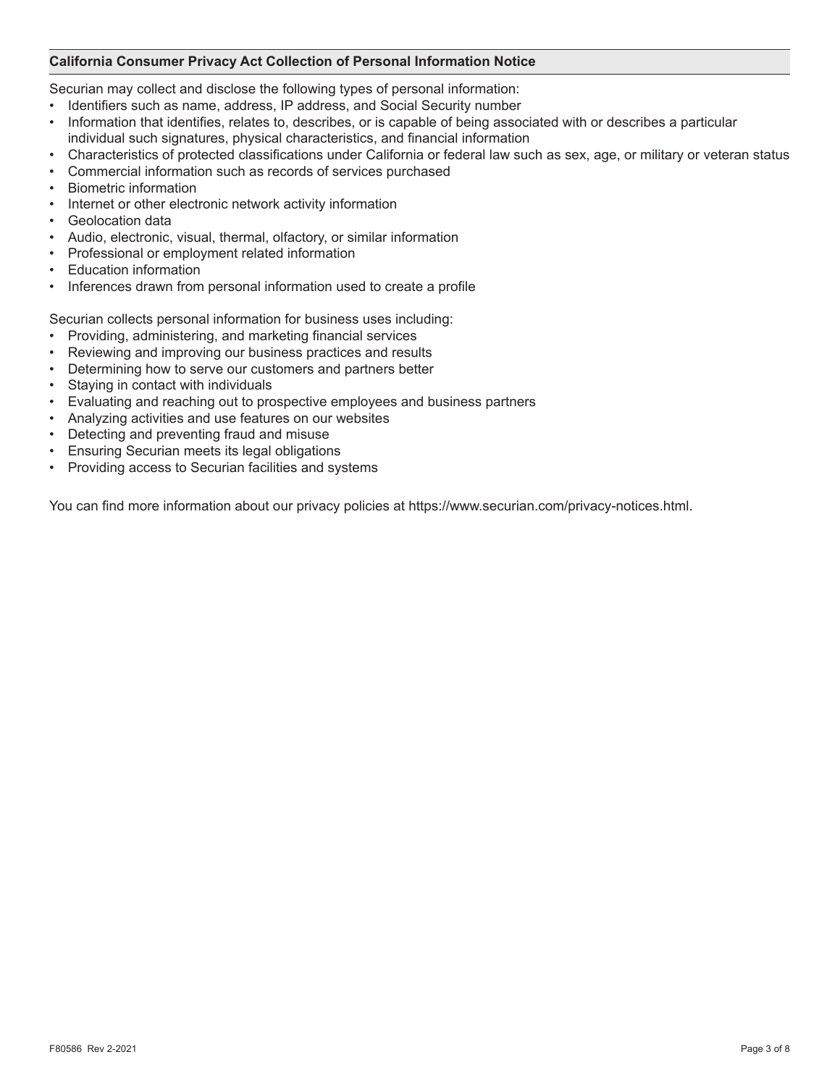# **California Consumer Privacy Act Collection of Personal Information Notice**

Securian may collect and disclose the following types of personal information:

- Identifiers such as name, address, IP address, and Social Security number
- Information that identifies, relates to, describes, or is capable of being associated with or describes a particular individual such signatures, physical characteristics, and financial information
- Characteristics of protected classifications under California or federal law such as sex, age, or military or veteran status
- Commercial information such as records of services purchased
- Biometric information
- Internet or other electronic network activity information
- Geolocation data
- Audio, electronic, visual, thermal, olfactory, or similar information
- Professional or employment related information
- Education information
- Inferences drawn from personal information used to create a profile

Securian collects personal information for business uses including:

- Providing, administering, and marketing financial services
- Reviewing and improving our business practices and results
- Determining how to serve our customers and partners better
- Staying in contact with individuals
- Evaluating and reaching out to prospective employees and business partners
- Analyzing activities and use features on our websites
- Detecting and preventing fraud and misuse
- Ensuring Securian meets its legal obligations
- Providing access to Securian facilities and systems

You can find more information about our privacy policies at https://www.securian.com/privacy-notices.html.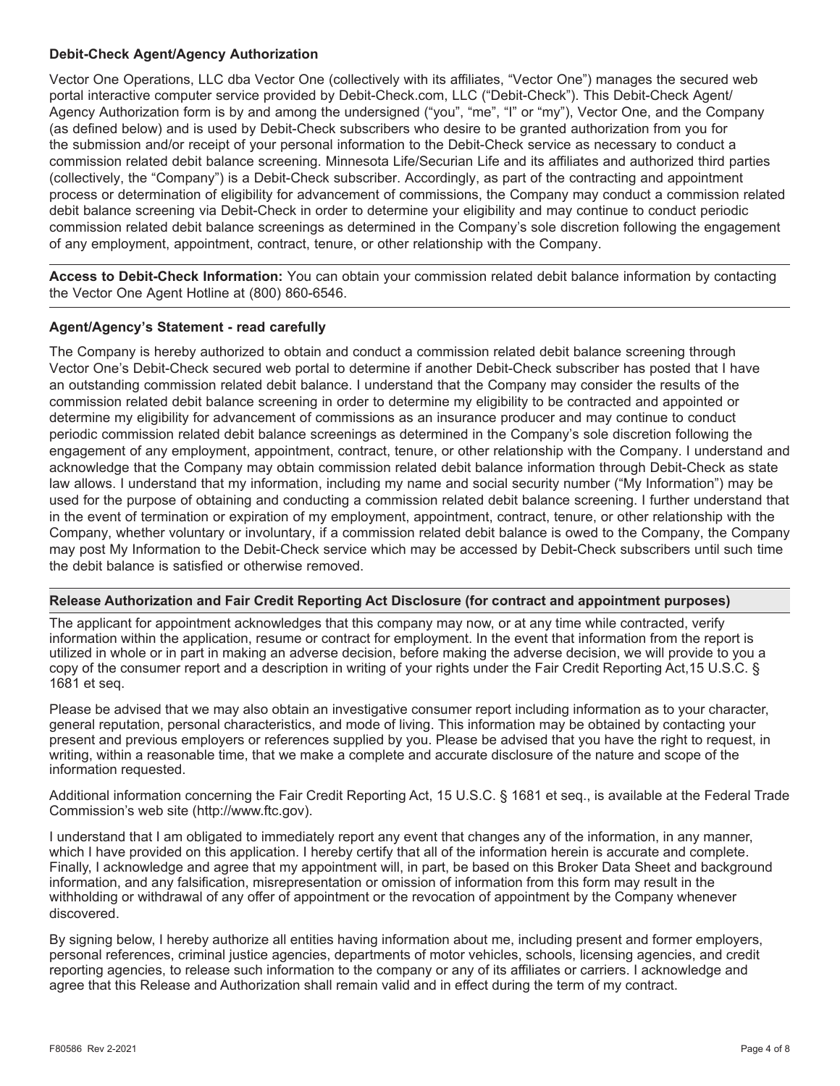## **Debit-Check Agent/Agency Authorization**

Vector One Operations, LLC dba Vector One (collectively with its affiliates, "Vector One") manages the secured web portal interactive computer service provided by Debit-Check.com, LLC ("Debit-Check"). This Debit-Check Agent/ Agency Authorization form is by and among the undersigned ("you", "me", "I" or "my"), Vector One, and the Company (as defined below) and is used by Debit-Check subscribers who desire to be granted authorization from you for the submission and/or receipt of your personal information to the Debit-Check service as necessary to conduct a commission related debit balance screening. Minnesota Life/Securian Life and its affiliates and authorized third parties (collectively, the "Company") is a Debit-Check subscriber. Accordingly, as part of the contracting and appointment process or determination of eligibility for advancement of commissions, the Company may conduct a commission related debit balance screening via Debit-Check in order to determine your eligibility and may continue to conduct periodic commission related debit balance screenings as determined in the Company's sole discretion following the engagement of any employment, appointment, contract, tenure, or other relationship with the Company.

**Access to Debit-Check Information:** You can obtain your commission related debit balance information by contacting the Vector One Agent Hotline at (800) 860-6546.

## **Agent/Agency's Statement - read carefully**

The Company is hereby authorized to obtain and conduct a commission related debit balance screening through Vector One's Debit-Check secured web portal to determine if another Debit-Check subscriber has posted that I have an outstanding commission related debit balance. I understand that the Company may consider the results of the commission related debit balance screening in order to determine my eligibility to be contracted and appointed or determine my eligibility for advancement of commissions as an insurance producer and may continue to conduct periodic commission related debit balance screenings as determined in the Company's sole discretion following the engagement of any employment, appointment, contract, tenure, or other relationship with the Company. I understand and acknowledge that the Company may obtain commission related debit balance information through Debit-Check as state law allows. I understand that my information, including my name and social security number ("My Information") may be used for the purpose of obtaining and conducting a commission related debit balance screening. I further understand that in the event of termination or expiration of my employment, appointment, contract, tenure, or other relationship with the Company, whether voluntary or involuntary, if a commission related debit balance is owed to the Company, the Company may post My Information to the Debit-Check service which may be accessed by Debit-Check subscribers until such time the debit balance is satisfied or otherwise removed.

### **Release Authorization and Fair Credit Reporting Act Disclosure (for contract and appointment purposes)**

The applicant for appointment acknowledges that this company may now, or at any time while contracted, verify information within the application, resume or contract for employment. In the event that information from the report is utilized in whole or in part in making an adverse decision, before making the adverse decision, we will provide to you a copy of the consumer report and a description in writing of your rights under the Fair Credit Reporting Act,15 U.S.C. § 1681 et seq.

Please be advised that we may also obtain an investigative consumer report including information as to your character, general reputation, personal characteristics, and mode of living. This information may be obtained by contacting your present and previous employers or references supplied by you. Please be advised that you have the right to request, in writing, within a reasonable time, that we make a complete and accurate disclosure of the nature and scope of the information requested.

Additional information concerning the Fair Credit Reporting Act, 15 U.S.C. § 1681 et seq., is available at the Federal Trade Commission's web site (http://www.ftc.gov).

I understand that I am obligated to immediately report any event that changes any of the information, in any manner, which I have provided on this application. I hereby certify that all of the information herein is accurate and complete. Finally, I acknowledge and agree that my appointment will, in part, be based on this Broker Data Sheet and background information, and any falsification, misrepresentation or omission of information from this form may result in the withholding or withdrawal of any offer of appointment or the revocation of appointment by the Company whenever discovered.

By signing below, I hereby authorize all entities having information about me, including present and former employers, personal references, criminal justice agencies, departments of motor vehicles, schools, licensing agencies, and credit reporting agencies, to release such information to the company or any of its affiliates or carriers. I acknowledge and agree that this Release and Authorization shall remain valid and in effect during the term of my contract.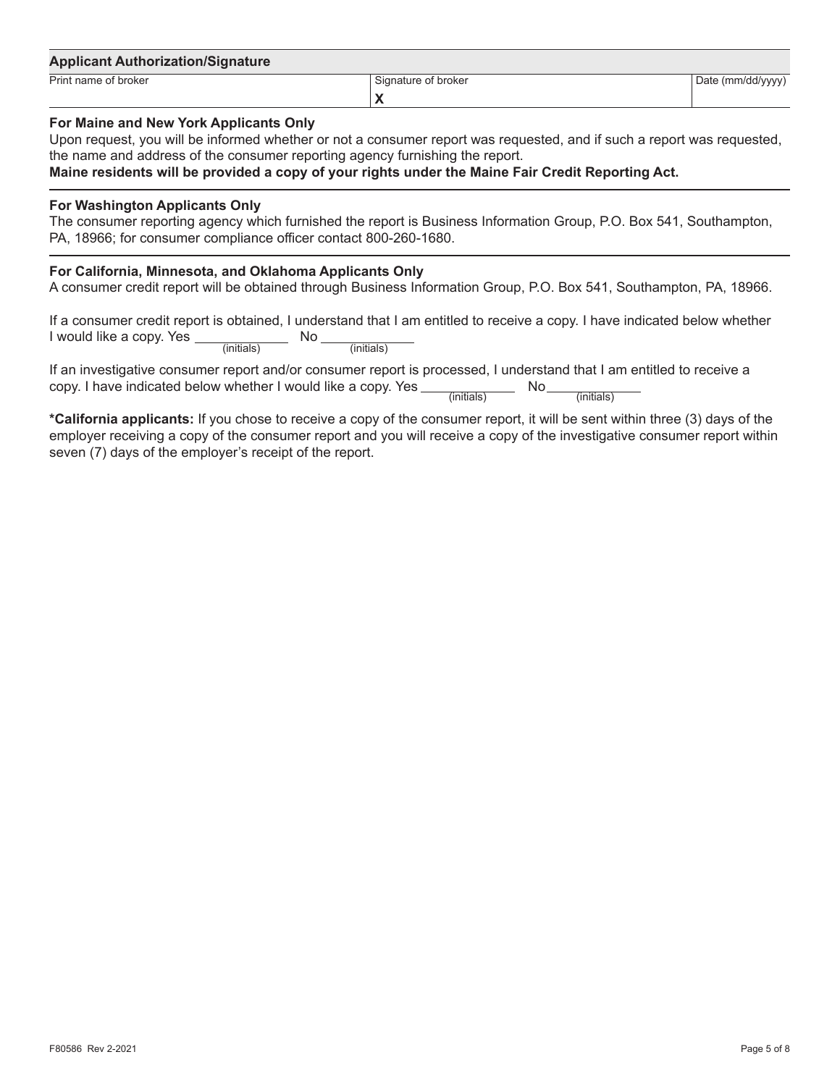| <b>Applicant Authorization/Signature</b> |                     |                   |  |  |
|------------------------------------------|---------------------|-------------------|--|--|
| Print name of broker                     | Signature of broker | Date (mm/dd/yyyy) |  |  |
|                                          |                     |                   |  |  |

#### **For Maine and New York Applicants Only**

Upon request, you will be informed whether or not a consumer report was requested, and if such a report was requested, the name and address of the consumer reporting agency furnishing the report.

**Maine residents will be provided a copy of your rights under the Maine Fair Credit Reporting Act.**

#### **For Washington Applicants Only**

The consumer reporting agency which furnished the report is Business Information Group, P.O. Box 541, Southampton, PA, 18966; for consumer compliance officer contact 800-260-1680.

# **For California, Minnesota, and Oklahoma Applicants Only**

A consumer credit report will be obtained through Business Information Group, P.O. Box 541, Southampton, PA, 18966.

If a consumer credit report is obtained, I understand that I am entitled to receive a copy. I have indicated below whether I would like a copy. Yes No (initials) (initials)

If an investigative consumer report and/or consumer report is processed, I understand that I am entitled to receive a copy. I have indicated below whether I would like a copy. Yes No (initials) (initials)

**\*California applicants:** If you chose to receive a copy of the consumer report, it will be sent within three (3) days of the employer receiving a copy of the consumer report and you will receive a copy of the investigative consumer report within seven (7) days of the employer's receipt of the report.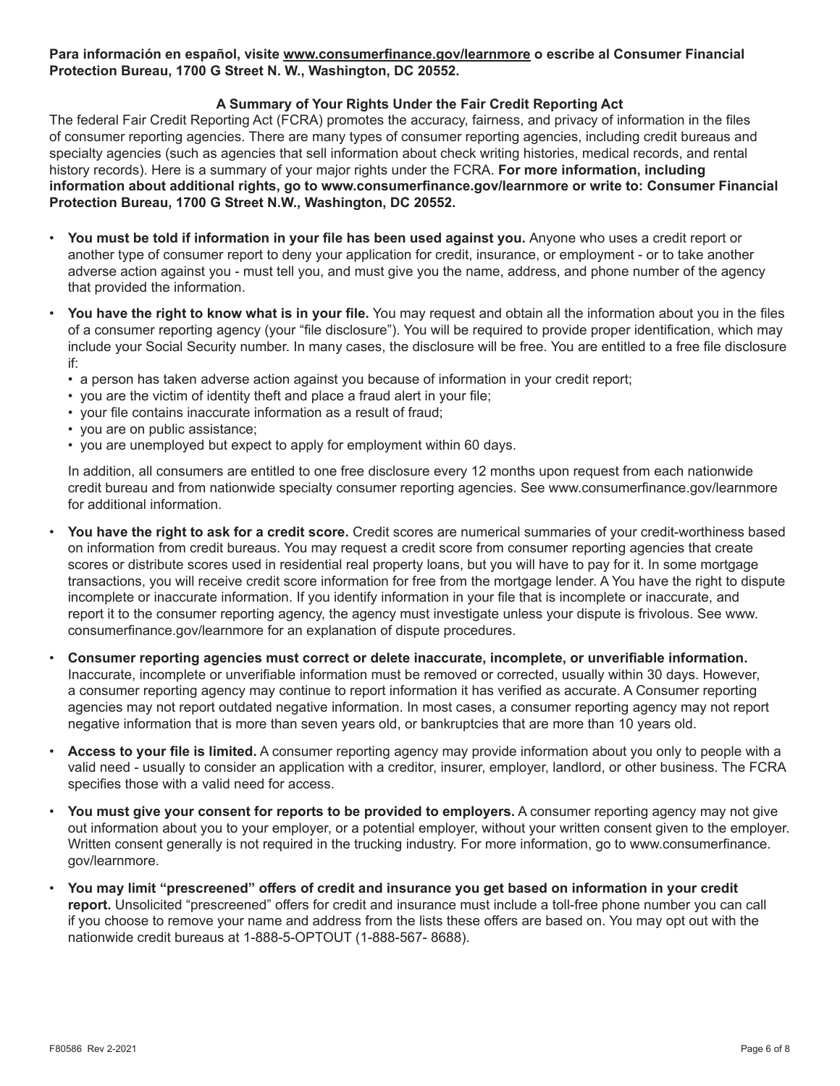### **Para información en español, visite www.consumerfinance.gov/learnmore o escribe al Consumer Financial Protection Bureau, 1700 G Street N. W., Washington, DC 20552.**

# **A Summary of Your Rights Under the Fair Credit Reporting Act**

The federal Fair Credit Reporting Act (FCRA) promotes the accuracy, fairness, and privacy of information in the files of consumer reporting agencies. There are many types of consumer reporting agencies, including credit bureaus and specialty agencies (such as agencies that sell information about check writing histories, medical records, and rental history records). Here is a summary of your major rights under the FCRA. **For more information, including information about additional rights, go to www.consumerfinance.gov/learnmore or write to: Consumer Financial Protection Bureau, 1700 G Street N.W., Washington, DC 20552.**

- **You must be told if information in your file has been used against you.** Anyone who uses a credit report or another type of consumer report to deny your application for credit, insurance, or employment - or to take another adverse action against you - must tell you, and must give you the name, address, and phone number of the agency that provided the information.
- **You have the right to know what is in your file.** You may request and obtain all the information about you in the files of a consumer reporting agency (your "file disclosure"). You will be required to provide proper identification, which may include your Social Security number. In many cases, the disclosure will be free. You are entitled to a free file disclosure if:
	- a person has taken adverse action against you because of information in your credit report;
	- you are the victim of identity theft and place a fraud alert in your file;
	- your file contains inaccurate information as a result of fraud;
	- you are on public assistance;
	- you are unemployed but expect to apply for employment within 60 days.

In addition, all consumers are entitled to one free disclosure every 12 months upon request from each nationwide credit bureau and from nationwide specialty consumer reporting agencies. See www.consumerfinance.gov/learnmore for additional information.

- **You have the right to ask for a credit score.** Credit scores are numerical summaries of your credit-worthiness based on information from credit bureaus. You may request a credit score from consumer reporting agencies that create scores or distribute scores used in residential real property loans, but you will have to pay for it. In some mortgage transactions, you will receive credit score information for free from the mortgage lender. A You have the right to dispute incomplete or inaccurate information. If you identify information in your file that is incomplete or inaccurate, and report it to the consumer reporting agency, the agency must investigate unless your dispute is frivolous. See www. consumerfinance.gov/learnmore for an explanation of dispute procedures.
- **Consumer reporting agencies must correct or delete inaccurate, incomplete, or unverifiable information.** Inaccurate, incomplete or unverifiable information must be removed or corrected, usually within 30 days. However, a consumer reporting agency may continue to report information it has verified as accurate. A Consumer reporting agencies may not report outdated negative information. In most cases, a consumer reporting agency may not report negative information that is more than seven years old, or bankruptcies that are more than 10 years old.
- **Access to your file is limited.** A consumer reporting agency may provide information about you only to people with a valid need - usually to consider an application with a creditor, insurer, employer, landlord, or other business. The FCRA specifies those with a valid need for access.
- **You must give your consent for reports to be provided to employers.** A consumer reporting agency may not give out information about you to your employer, or a potential employer, without your written consent given to the employer. Written consent generally is not required in the trucking industry. For more information, go to www.consumerfinance. gov/learnmore.
- **You may limit "prescreened" offers of credit and insurance you get based on information in your credit report.** Unsolicited "prescreened" offers for credit and insurance must include a toll-free phone number you can call if you choose to remove your name and address from the lists these offers are based on. You may opt out with the nationwide credit bureaus at 1-888-5-OPTOUT (1-888-567- 8688).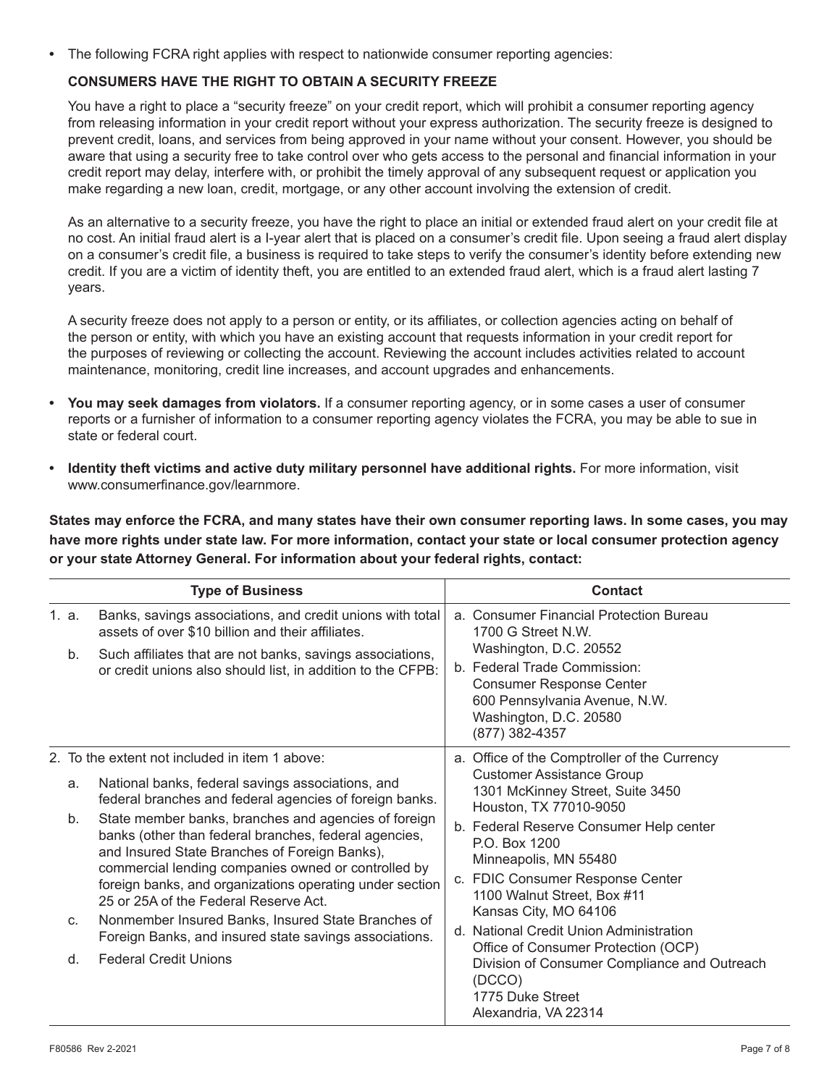**•** The following FCRA right applies with respect to nationwide consumer reporting agencies:

# **CONSUMERS HAVE THE RIGHT TO OBTAIN A SECURITY FREEZE**

You have a right to place a "security freeze" on your credit report, which will prohibit a consumer reporting agency from releasing information in your credit report without your express authorization. The security freeze is designed to prevent credit, loans, and services from being approved in your name without your consent. However, you should be aware that using a security free to take control over who gets access to the personal and financial information in your credit report may delay, interfere with, or prohibit the timely approval of any subsequent request or application you make regarding a new loan, credit, mortgage, or any other account involving the extension of credit.

As an alternative to a security freeze, you have the right to place an initial or extended fraud alert on your credit file at no cost. An initial fraud alert is a I-year alert that is placed on a consumer's credit file. Upon seeing a fraud alert display on a consumer's credit file, a business is required to take steps to verify the consumer's identity before extending new credit. If you are a victim of identity theft, you are entitled to an extended fraud alert, which is a fraud alert lasting 7 years.

A security freeze does not apply to a person or entity, or its affiliates, or collection agencies acting on behalf of the person or entity, with which you have an existing account that requests information in your credit report for the purposes of reviewing or collecting the account. Reviewing the account includes activities related to account maintenance, monitoring, credit line increases, and account upgrades and enhancements.

- **• You may seek damages from violators.** If a consumer reporting agency, or in some cases a user of consumer reports or a furnisher of information to a consumer reporting agency violates the FCRA, you may be able to sue in state or federal court.
- Identity theft victims and active duty military personnel have additional rights. For more information, visit www.consumerfinance.gov/learnmore.

**States may enforce the FCRA, and many states have their own consumer reporting laws. In some cases, you may have more rights under state law. For more information, contact your state or local consumer protection agency or your state Attorney General. For information about your federal rights, contact:**

| <b>Type of Business</b>                                                                                                                                                                                                                                                                                                                                                                                                                                                                                                                                                                                                                                              | <b>Contact</b>                                                                                                                                                                                                                                                                                                                                                                                                                                                                                                          |  |  |  |
|----------------------------------------------------------------------------------------------------------------------------------------------------------------------------------------------------------------------------------------------------------------------------------------------------------------------------------------------------------------------------------------------------------------------------------------------------------------------------------------------------------------------------------------------------------------------------------------------------------------------------------------------------------------------|-------------------------------------------------------------------------------------------------------------------------------------------------------------------------------------------------------------------------------------------------------------------------------------------------------------------------------------------------------------------------------------------------------------------------------------------------------------------------------------------------------------------------|--|--|--|
| Banks, savings associations, and credit unions with total<br>1. a.<br>assets of over \$10 billion and their affiliates.<br>Such affiliates that are not banks, savings associations,<br>b.<br>or credit unions also should list, in addition to the CFPB:                                                                                                                                                                                                                                                                                                                                                                                                            | a. Consumer Financial Protection Bureau<br>1700 G Street N.W.<br>Washington, D.C. 20552<br>b. Federal Trade Commission:<br><b>Consumer Response Center</b><br>600 Pennsylvania Avenue, N.W.<br>Washington, D.C. 20580<br>(877) 382-4357                                                                                                                                                                                                                                                                                 |  |  |  |
| 2. To the extent not included in item 1 above:<br>National banks, federal savings associations, and<br>a.<br>federal branches and federal agencies of foreign banks.<br>State member banks, branches and agencies of foreign<br>b.<br>banks (other than federal branches, federal agencies,<br>and Insured State Branches of Foreign Banks),<br>commercial lending companies owned or controlled by<br>foreign banks, and organizations operating under section<br>25 or 25A of the Federal Reserve Act.<br>Nonmember Insured Banks, Insured State Branches of<br>C.<br>Foreign Banks, and insured state savings associations.<br><b>Federal Credit Unions</b><br>d. | a. Office of the Comptroller of the Currency<br><b>Customer Assistance Group</b><br>1301 McKinney Street, Suite 3450<br>Houston, TX 77010-9050<br>b. Federal Reserve Consumer Help center<br>P.O. Box 1200<br>Minneapolis, MN 55480<br>c. FDIC Consumer Response Center<br>1100 Walnut Street, Box #11<br>Kansas City, MO 64106<br>d. National Credit Union Administration<br>Office of Consumer Protection (OCP)<br>Division of Consumer Compliance and Outreach<br>(DCCO)<br>1775 Duke Street<br>Alexandria, VA 22314 |  |  |  |